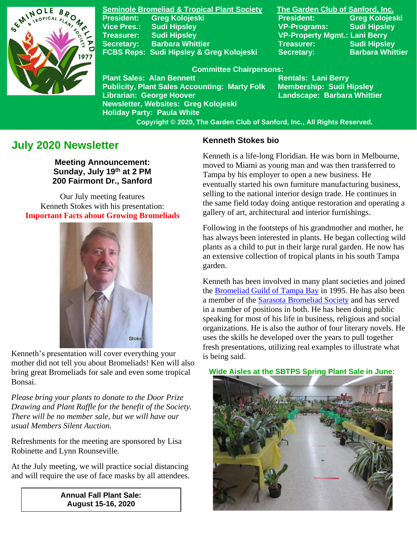

**Seminole Bromeliad & Tropical Plant Society The Garden Club of Sanford, Inc. Vice Pres.: Sudi Hipsley VP-Programs: Sudi Hipsley Treasurer: Sudi Hipsley VP-Property Mgmt.: Lani Berry Secretary:** Barbara Whittier **Network Treasurer:** Sudi Hipsley **FCBS Reps: Sudi Hipsley & Greg Kolojeski Secretary: Barbara Whittier** 

**President: Greg Kolojeski President: Greg Kolojeski** 

#### **Committee Chairpersons:**

Plant Sales: Alan Bennett<br>Publicity, Plant Sales Accounting: Marty Folk Membership: Sudi Hipsley **Publicity, Plant Sales Accounting: Marty Folk Librarian: George Hoover Landscape: Barbara Whittier Newsletter, Websites: Greg Kolojeski Holiday Party: Paula White** 

 **Copyright © 2020, The Garden Club of Sanford, Inc., All Rights Reserved.**

# **July 2020 Newsletter**

**Meeting Announcement: Sunday, July 19 th at 2 PM 200 Fairmont Dr., Sanford**

Our July meeting features Kenneth Stokes with his presentation: **Important Facts about Growing Bromeliads**



Kenneth's presentation will cover everything your mother did not tell you about Bromeliads! Ken will also bring great Bromeliads for sale and even some tropical Bonsai.

*Please bring your plants to donate to the Door Prize Drawing and Plant Raffle for the benefit of the Society. There will be no member sale, but we will have our usual Members Silent Auction.*

Refreshments for the meeting are sponsored by Lisa Robinette and Lynn Rounseville.

At the July meeting, we will practice social distancing and will require the use of face masks by all attendees.

> **Annual Fall Plant Sale: August 15-16, 2020**

### **Kenneth Stokes bio**

Kenneth is a life-long Floridian. He was born in Melbourne, moved to Miami as young man and was then transferred to Tampa by his employer to open a new business. He eventually started his own furniture manufacturing business, selling to the national interior design trade. He continues in the same field today doing antique restoration and operating a gallery of art, architectural and interior furnishings.

Following in the footsteps of his grandmother and mother, he has always been interested in plants. He began collecting wild plants as a child to put in their large rural garden. He now has an extensive collection of tropical plants in his south Tampa garden.

Kenneth has been involved in many plant societies and joined the [Bromeliad Guild of Tampa Bay](http://www.bromeliadguildoftampabay.org/) in 1995. He has also been a member of the [Sarasota Bromeliad Society](https://sarasotabromeliadsociety.org/) and has served in a number of positions in both. He has been doing public speaking for most of his life in business, religious and social organizations. He is also the author of four literary novels. He uses the skills he developed over the years to pull together fresh presentations, utilizing real examples to illustrate what is being said.

#### **Wide Aisles at the SBTPS Spring Plant Sale in June:**